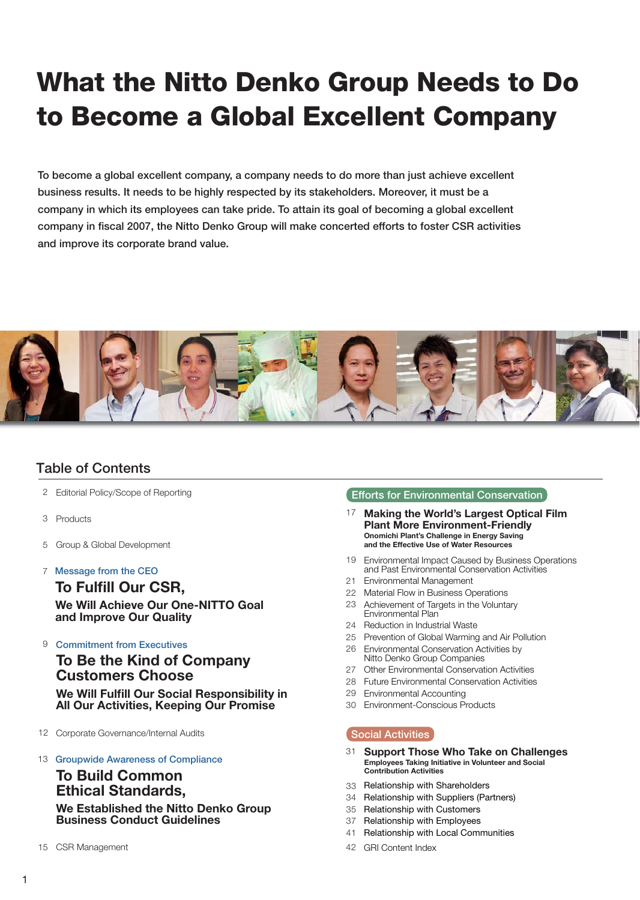# **What the Nitto Denko Group Needs to Do to Become a Global Excellent Company**

**To become a global excellent company, a company needs to do more than just achieve excellent business results. It needs to be highly respected by its stakeholders. Moreover, it must be a company in which its employees can take pride. To attain its goal of becoming a global excellent company in fiscal 2007, the Nitto Denko Group will make concerted efforts to foster CSR activities and improve its corporate brand value.** 



# **Table of Contents**

- Editorial Policy/Scope of Reporting 2
- Products 3
- Group & Global Development 5
- 7 **Message from the CEO**

## **To Fulfill Our CSR,**

**We Will Achieve Our One-NITTO Goal and Improve Our Quality**

9 **Commitment from Executives**

**To Be the Kind of Company Customers Choose We Will Fulfill Our Social Responsibility in All Our Activities, Keeping Our Promise**

- 12 Corporate Governance/Internal Audits
- 13 **Groupwide Awareness of Compliance**

## **To Build Common Ethical Standards,**

**We Established the Nitto Denko Group Business Conduct Guidelines**

15 CSR Management

### **Efforts for Environmental Conservation**

- **Making the World's Largest Optical Film Plant More Environment-Friendly Onomichi Plant's Challenge in Energy Saving and the Effective Use of Water Resources** 17
- 19 Environmental Impact Caused by Business Operations and Past Environmental Conservation Activities
- 21 Environmental Management
- 22 Material Flow in Business Operations
- 23 Achievement of Targets in the Voluntary Environmental Plan
- 24 Reduction in Industrial Waste
- 25 Prevention of Global Warming and Air Pollution
- 26 Environmental Conservation Activities by Nitto Denko Group Companies
- 27 Other Environmental Conservation Activities
- 28 Future Environmental Conservation Activities
- 29 Environmental Accounting
- 30 Environment-Conscious Products

### **Social Activities**

- **Support Those Who Take on Challenges** 31 **Employees Taking Initiative in Volunteer and Social Contribution Activities**
- 33 Relationship with Shareholders
- 34 Relationship with Suppliers (Partners)
- 35 Relationship with Customers
- 37 Relationship with Employees
- 41 Relationship with Local Communities
- GRI Content Index 42